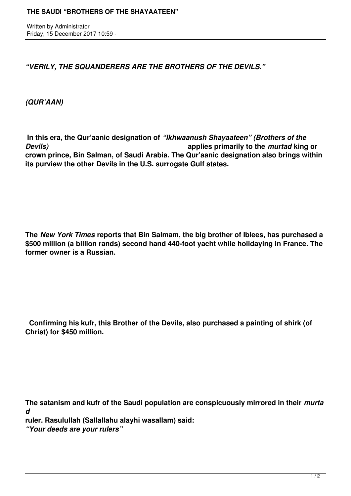Written by Administrator Friday, 15 December 2017 10:59 -

*"VERILY, THE SQUANDERERS ARE THE BROTHERS OF THE DEVILS."*

*(QUR'AAN)*

 **In this era, the Qur'aanic designation of** *"Ikhwaanush Shayaateen" (Brothers of the Devils)* **applies primarily to the** *murtad* **king or crown prince, Bin Salman, of Saudi Arabia. The Qur'aanic designation also brings within its purview the other Devils in the U.S. surrogate Gulf states.**

**The** *New York Times* **reports that Bin Salmam, the big brother of Iblees, has purchased a \$500 million (a billion rands) second hand 440-foot yacht while holidaying in France. The former owner is a Russian.**

 **Confirming his kufr, this Brother of the Devils, also purchased a painting of shirk (of Christ) for \$450 million.**

**The satanism and kufr of the Saudi population are conspicuously mirrored in their** *murta d*

**ruler. Rasulullah (Sallallahu alayhi wasallam) said:** 

*"Your deeds are your rulers"*